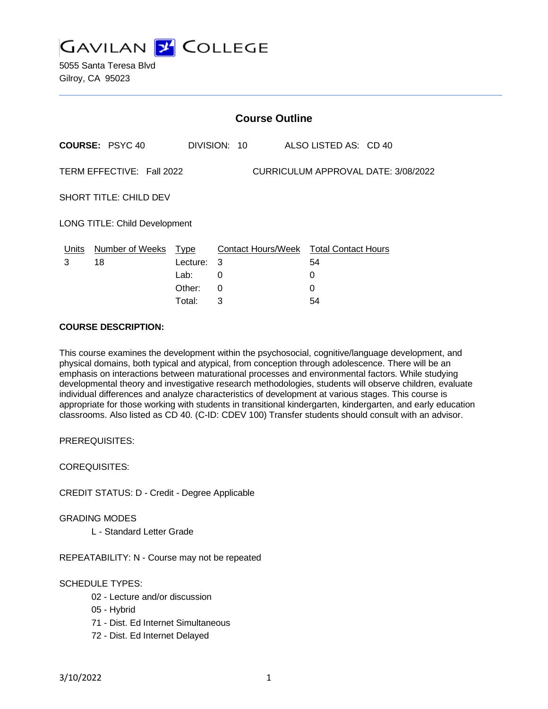

5055 Santa Teresa Blvd Gilroy, CA 95023

|                                                                  | <b>Course Outline</b>         |          |              |                                        |  |
|------------------------------------------------------------------|-------------------------------|----------|--------------|----------------------------------------|--|
|                                                                  | <b>COURSE: PSYC 40</b>        |          | DIVISION: 10 | ALSO LISTED AS: CD 40                  |  |
| TERM EFFECTIVE: Fall 2022<br>CURRICULUM APPROVAL DATE: 3/08/2022 |                               |          |              |                                        |  |
|                                                                  | <b>SHORT TITLE: CHILD DEV</b> |          |              |                                        |  |
| LONG TITLE: Child Development                                    |                               |          |              |                                        |  |
|                                                                  | Units Number of Weeks Type    |          |              | Contact Hours/Week Total Contact Hours |  |
| 3                                                                | 18                            | Lecture: | 3            | 54                                     |  |
|                                                                  |                               | Lab:     | 0            | 0                                      |  |
|                                                                  |                               | Other:   | 0            | $\Omega$                               |  |
|                                                                  |                               | Total:   | 3            | 54                                     |  |

### **COURSE DESCRIPTION:**

This course examines the development within the psychosocial, cognitive/language development, and physical domains, both typical and atypical, from conception through adolescence. There will be an emphasis on interactions between maturational processes and environmental factors. While studying developmental theory and investigative research methodologies, students will observe children, evaluate individual differences and analyze characteristics of development at various stages. This course is appropriate for those working with students in transitional kindergarten, kindergarten, and early education classrooms. Also listed as CD 40. (C-ID: CDEV 100) Transfer students should consult with an advisor.

PREREQUISITES:

COREQUISITES:

CREDIT STATUS: D - Credit - Degree Applicable

GRADING MODES

L - Standard Letter Grade

REPEATABILITY: N - Course may not be repeated

### SCHEDULE TYPES:

- 02 Lecture and/or discussion
- 05 Hybrid
- 71 Dist. Ed Internet Simultaneous
- 72 Dist. Ed Internet Delayed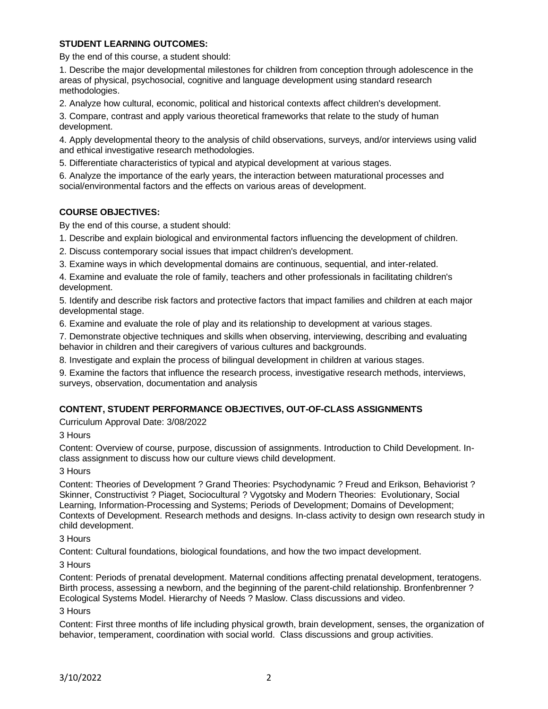### **STUDENT LEARNING OUTCOMES:**

By the end of this course, a student should:

1. Describe the major developmental milestones for children from conception through adolescence in the areas of physical, psychosocial, cognitive and language development using standard research methodologies.

2. Analyze how cultural, economic, political and historical contexts affect children's development.

3. Compare, contrast and apply various theoretical frameworks that relate to the study of human development.

4. Apply developmental theory to the analysis of child observations, surveys, and/or interviews using valid and ethical investigative research methodologies.

5. Differentiate characteristics of typical and atypical development at various stages.

6. Analyze the importance of the early years, the interaction between maturational processes and social/environmental factors and the effects on various areas of development.

# **COURSE OBJECTIVES:**

By the end of this course, a student should:

1. Describe and explain biological and environmental factors influencing the development of children.

2. Discuss contemporary social issues that impact children's development.

3. Examine ways in which developmental domains are continuous, sequential, and inter-related.

4. Examine and evaluate the role of family, teachers and other professionals in facilitating children's development.

5. Identify and describe risk factors and protective factors that impact families and children at each major developmental stage.

6. Examine and evaluate the role of play and its relationship to development at various stages.

7. Demonstrate objective techniques and skills when observing, interviewing, describing and evaluating behavior in children and their caregivers of various cultures and backgrounds.

8. Investigate and explain the process of bilingual development in children at various stages.

9. Examine the factors that influence the research process, investigative research methods, interviews, surveys, observation, documentation and analysis

# **CONTENT, STUDENT PERFORMANCE OBJECTIVES, OUT-OF-CLASS ASSIGNMENTS**

Curriculum Approval Date: 3/08/2022

3 Hours

Content: Overview of course, purpose, discussion of assignments. Introduction to Child Development. Inclass assignment to discuss how our culture views child development.

3 Hours

Content: Theories of Development ? Grand Theories: Psychodynamic ? Freud and Erikson, Behaviorist ? Skinner, Constructivist ? Piaget, Sociocultural ? Vygotsky and Modern Theories: Evolutionary, Social Learning, Information-Processing and Systems; Periods of Development; Domains of Development; Contexts of Development. Research methods and designs. In-class activity to design own research study in child development.

3 Hours

Content: Cultural foundations, biological foundations, and how the two impact development.

3 Hours

Content: Periods of prenatal development. Maternal conditions affecting prenatal development, teratogens. Birth process, assessing a newborn, and the beginning of the parent-child relationship. Bronfenbrenner ? Ecological Systems Model. Hierarchy of Needs ? Maslow. Class discussions and video.

3 Hours

Content: First three months of life including physical growth, brain development, senses, the organization of behavior, temperament, coordination with social world. Class discussions and group activities.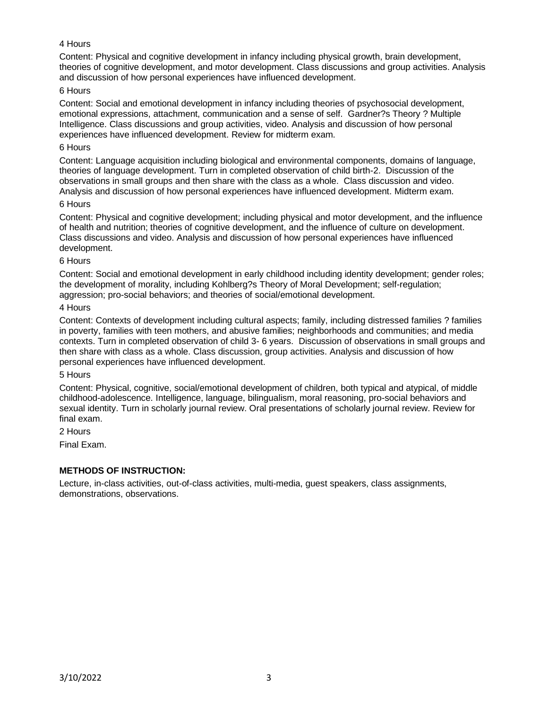### 4 Hours

Content: Physical and cognitive development in infancy including physical growth, brain development, theories of cognitive development, and motor development. Class discussions and group activities. Analysis and discussion of how personal experiences have influenced development.

### 6 Hours

Content: Social and emotional development in infancy including theories of psychosocial development, emotional expressions, attachment, communication and a sense of self. Gardner?s Theory ? Multiple Intelligence. Class discussions and group activities, video. Analysis and discussion of how personal experiences have influenced development. Review for midterm exam.

#### 6 Hours

Content: Language acquisition including biological and environmental components, domains of language, theories of language development. Turn in completed observation of child birth-2. Discussion of the observations in small groups and then share with the class as a whole. Class discussion and video. Analysis and discussion of how personal experiences have influenced development. Midterm exam.

### 6 Hours

Content: Physical and cognitive development; including physical and motor development, and the influence of health and nutrition; theories of cognitive development, and the influence of culture on development. Class discussions and video. Analysis and discussion of how personal experiences have influenced development.

### 6 Hours

Content: Social and emotional development in early childhood including identity development; gender roles; the development of morality, including Kohlberg?s Theory of Moral Development; self-regulation; aggression; pro-social behaviors; and theories of social/emotional development.

### 4 Hours

Content: Contexts of development including cultural aspects; family, including distressed families ? families in poverty, families with teen mothers, and abusive families; neighborhoods and communities; and media contexts. Turn in completed observation of child 3- 6 years. Discussion of observations in small groups and then share with class as a whole. Class discussion, group activities. Analysis and discussion of how personal experiences have influenced development.

#### 5 Hours

Content: Physical, cognitive, social/emotional development of children, both typical and atypical, of middle childhood-adolescence. Intelligence, language, bilingualism, moral reasoning, pro-social behaviors and sexual identity. Turn in scholarly journal review. Oral presentations of scholarly journal review. Review for final exam.

2 Hours

Final Exam.

### **METHODS OF INSTRUCTION:**

Lecture, in-class activities, out-of-class activities, multi-media, guest speakers, class assignments, demonstrations, observations.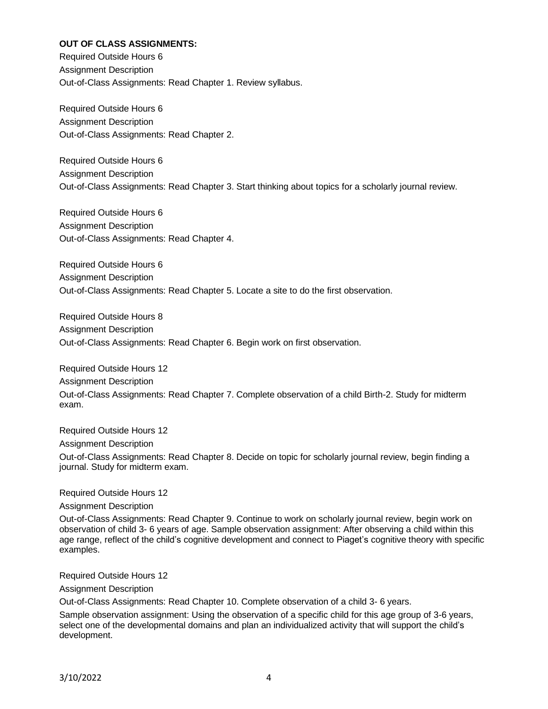### **OUT OF CLASS ASSIGNMENTS:**

Required Outside Hours 6 Assignment Description Out-of-Class Assignments: Read Chapter 1. Review syllabus.

Required Outside Hours 6 Assignment Description Out-of-Class Assignments: Read Chapter 2.

Required Outside Hours 6 Assignment Description Out-of-Class Assignments: Read Chapter 3. Start thinking about topics for a scholarly journal review.

Required Outside Hours 6 Assignment Description Out-of-Class Assignments: Read Chapter 4.

Required Outside Hours 6 Assignment Description Out-of-Class Assignments: Read Chapter 5. Locate a site to do the first observation.

Required Outside Hours 8 Assignment Description Out-of-Class Assignments: Read Chapter 6. Begin work on first observation.

Required Outside Hours 12 Assignment Description Out-of-Class Assignments: Read Chapter 7. Complete observation of a child Birth-2. Study for midterm exam.

Required Outside Hours 12

Assignment Description

Out-of-Class Assignments: Read Chapter 8. Decide on topic for scholarly journal review, begin finding a journal. Study for midterm exam.

Required Outside Hours 12

Assignment Description

Out-of-Class Assignments: Read Chapter 9. Continue to work on scholarly journal review, begin work on observation of child 3- 6 years of age. Sample observation assignment: After observing a child within this age range, reflect of the child's cognitive development and connect to Piaget's cognitive theory with specific examples.

Required Outside Hours 12

Assignment Description

Out-of-Class Assignments: Read Chapter 10. Complete observation of a child 3- 6 years.

Sample observation assignment: Using the observation of a specific child for this age group of 3-6 years, select one of the developmental domains and plan an individualized activity that will support the child's development.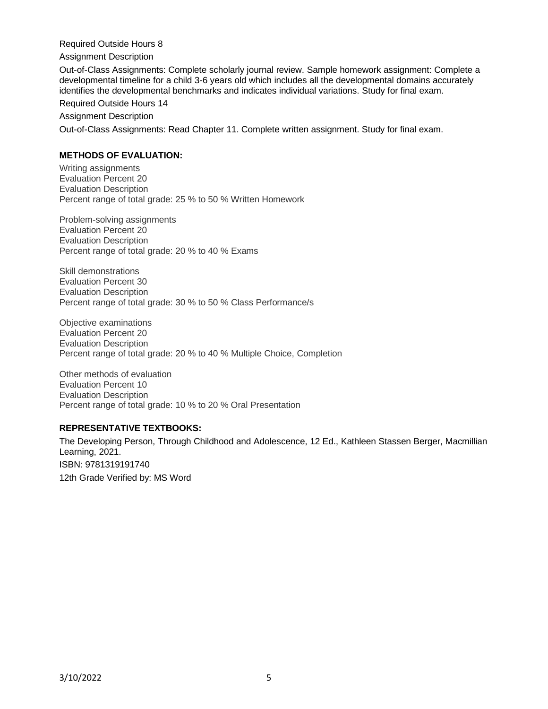Required Outside Hours 8

Assignment Description

Out-of-Class Assignments: Complete scholarly journal review. Sample homework assignment: Complete a developmental timeline for a child 3-6 years old which includes all the developmental domains accurately identifies the developmental benchmarks and indicates individual variations. Study for final exam.

Required Outside Hours 14

Assignment Description

Out-of-Class Assignments: Read Chapter 11. Complete written assignment. Study for final exam.

### **METHODS OF EVALUATION:**

Writing assignments Evaluation Percent 20 Evaluation Description Percent range of total grade: 25 % to 50 % Written Homework

Problem-solving assignments Evaluation Percent 20 Evaluation Description Percent range of total grade: 20 % to 40 % Exams

Skill demonstrations Evaluation Percent 30 Evaluation Description Percent range of total grade: 30 % to 50 % Class Performance/s

Objective examinations Evaluation Percent 20 Evaluation Description Percent range of total grade: 20 % to 40 % Multiple Choice, Completion

Other methods of evaluation Evaluation Percent 10 Evaluation Description Percent range of total grade: 10 % to 20 % Oral Presentation

### **REPRESENTATIVE TEXTBOOKS:**

The Developing Person, Through Childhood and Adolescence, 12 Ed., Kathleen Stassen Berger, Macmillian Learning, 2021. ISBN: 9781319191740 12th Grade Verified by: MS Word